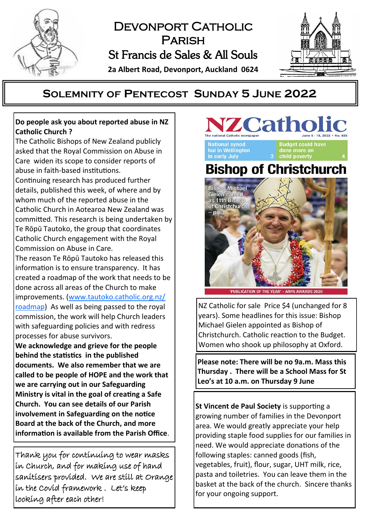

# **SOLEMNITY OF PENTECOST SUNDAY 5 JUNE 2022**

#### **Do people ask you about reported abuse in NZ Catholic Church ?**

The Catholic Bishops of New Zealand publicly asked that the Royal Commission on Abuse in Care widen its scope to consider reports of abuse in faith-based institutions.

Continuing research has produced further details, published this week, of where and by whom much of the reported abuse in the Catholic Church in Aotearoa New Zealand was committed. This research is being undertaken by Te Rōpū Tautoko, the group that coordinates Catholic Church engagement with the Royal Commission on Abuse in Care.

The reason Te Rōpū Tautoko has released this information is to ensure transparency. It has created a roadmap of the work that needs to be done across all areas of the Church to make improvements. ([www.tautoko.catholic.org.nz/](http://www.tautoko.catholic.org.nz/roadmap) [roadmap\)](http://www.tautoko.catholic.org.nz/roadmap) As well as being passed to the royal commission, the work will help Church leaders with safeguarding policies and with redress processes for abuse survivors.

**We acknowledge and grieve for the people behind the statistics in the published documents. We also remember that we are called to be people of HOPE and the work that we are carrying out in our Safeguarding Ministry is vital in the goal of creating a Safe Church. You can see details of our Parish involvement in Safeguarding on the notice Board at the back of the Church, and more information is available from the Parish Office**.

Thank you for continuing to wear masks in Church, and for making use of hand sanitisers provided. We are still at Orange in the Covid framework . Let's keep looking after each other!



NZ Catholic for sale Price \$4 (unchanged for 8 years). Some headlines for this issue: Bishop Michael Gielen appointed as Bishop of Christchurch. Catholic reaction to the Budget. Women who shook up philosophy at Oxford.

**UBLICATION OF THE YEAR' - ARPA AWARD** 

**Please note: There will be no 9a.m. Mass this Thursday . There will be a School Mass for St Leo's at 10 a.m. on Thursday 9 June**

**St Vincent de Paul Society** is supporting a growing number of families in the Devonport area. We would greatly appreciate your help providing staple food supplies for our families in need. We would appreciate donations of the following staples: canned goods (fish, vegetables, fruit), flour, sugar, UHT milk, rice, pasta and toiletries. You can leave them in the basket at the back of the church. Sincere thanks for your ongoing support.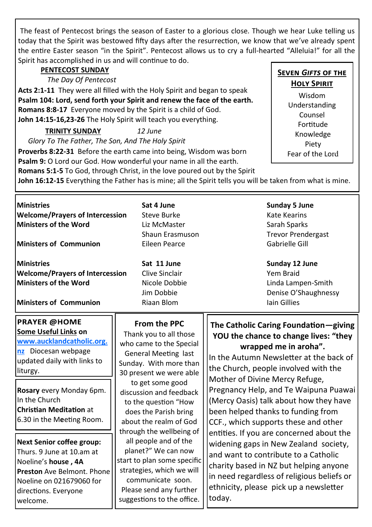The feast of Pentecost brings the season of Easter to a glorious close. Though we hear Luke telling us today that the Spirit was bestowed fifty days after the resurrection, we know that we've already spent the entire Easter season "in the Spirit". Pentecost allows us to cry a full-hearted "Alleluia!" for all the Spirit has accomplished in us and will continue to do.

#### **PENTECOST SUNDAY**

*The Day Of Pentecost*

**Acts 2:1-11** They were all filled with the Holy Spirit and began to speak **Psalm 104: Lord, send forth your Spirit and renew the face of the earth. Romans 8:8-17** Everyone moved by the Spirit is a child of God. **John 14:15-16,23-26** The Holy Spirit will teach you everything.

#### **TRINITY SUNDAY** *12 June*

welcome.

*Glory To The Father, The Son, And The Holy Spirit* **Proverbs 8:22-31** Before the earth came into being, Wisdom was born

**Psalm 9:** O Lord our God. How wonderful your name in all the earth.

**Romans 5:1-5** To God, through Christ, in the love poured out by the Spirit

**John 16:12-15** Everything the Father has is mine; all the Spirit tells you will be taken from what is mine.

#### **Ministries Sat 4 June Sunday 5 June Welcome/Prayers of Intercession** Steve Burke Kate Kate Kearins **Ministers of the Word Liz McMaster Liz McMaster** Sarah Sparks Shaun Erasmuson Trevor Prendergast **Ministers of Communion Eileen Pearce Gabrielle Gill Gabrielle Gill Ministries Sat 11 June Sunday 12 June Welcome/Prayers of Intercession** Clive Sinclair Clime **The Clipmen Clipmen Clipmen Clipmen Clipmen Ministers of the Word Nicole Dobbie** Linda Lampen-Smith Jim Dobbie Denise O'Shaughnessy **Ministers of Communion** Riaan Blom **Internal Communion** Riaan Blom **PRAYER @HOME From the PPC The Catholic Caring Foundation—giving Some Useful Links on**  Thank you to all those **YOU the chance to change lives: "they [www.aucklandcatholic.org.](http://www.aucklandcatholic.org.nz)** who came to the Special **wrapped me in aroha". [nz](http://www.aucklandcatholic.org.nz)** Diocesan webpage General Meeting last In the Autumn Newsletter at the back of updated daily with links to Sunday. With more than the Church, people involved with the liturgy.30 present we were able Mother of Divine Mercy Refuge, to get some good **Rosary** every Monday 6pm. Pregnancy Help, and Te Waipuna Puawai discussion and feedback In the Church (Mercy Oasis) talk about how they have to the question "How **Christian Meditation** at does the Parish bring been helped thanks to funding from 6.30 in the M**e**eting Room. about the realm of God CCF., which supports these and other through the wellbeing of entities. If you are concerned about the all people and of the **Next Senior coffee group:**  widening gaps in New Zealand society, planet?" We can now Thurs. 9 June at 10.am at and want to contribute to a Catholic start to plan some specific Noeline's **house , 4A**  charity based in NZ but helping anyone strategies, which we will **Preston** Ave Belmont. Phone in need regardless of religious beliefs or Noeline on 021679060 for communicate soon. ethnicity, please pick up a newsletter Please send any further directions. Everyone

suggestions to the office.

today.

**Seven** *Gifts* **of the Holy Spirit**

Wisdom Understanding Counsel Fortitude Knowledge Piety Fear of the Lord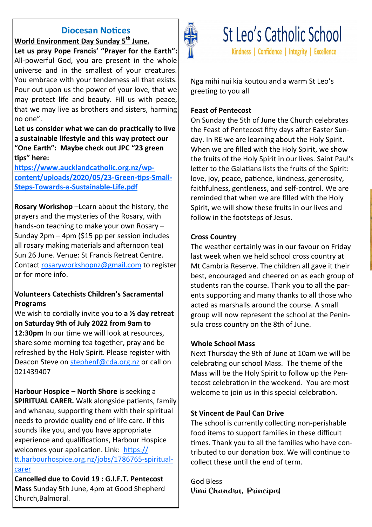### **Diocesan Notices**

## **World Environment Day Sunday 5th June.**

**Let us pray Pope Francis' "Prayer for the Earth":**  All-powerful God, you are present in the whole universe and in the smallest of your creatures. You embrace with your tenderness all that exists. Pour out upon us the power of your love, that we may protect life and beauty. Fill us with peace, that we may live as brothers and sisters, harming no one".

**Let us consider what we can do practically to live a sustainable lifestyle and this way protect our "One Earth": Maybe check out JPC "23 green tips" here:**

**[https://www.aucklandcatholic.org.nz/wp](https://www.aucklandcatholic.org.nz/wp-content/uploads/2020/05/23-Green-tips-Small-Steps-Towards-a-Sustainable-Life.pdf)[content/uploads/2020/05/23](https://www.aucklandcatholic.org.nz/wp-content/uploads/2020/05/23-Green-tips-Small-Steps-Towards-a-Sustainable-Life.pdf)-Green-tips-Small-Steps-Towards-a-[Sustainable](https://www.aucklandcatholic.org.nz/wp-content/uploads/2020/05/23-Green-tips-Small-Steps-Towards-a-Sustainable-Life.pdf)-Life.pdf**

**Rosary Workshop** –Learn about the history, the prayers and the mysteries of the Rosary, with hands-on teaching to make your own Rosary – Sunday 2pm – 4pm (\$15 pp per session includes all rosary making materials and afternoon tea) Sun 26 June. Venue: St Francis Retreat Centre. Contact [rosaryworkshopnz@gmail.com](mailto:rosaryworkshopnz@gmail.com) to register or for more info.

#### **Volunteers Catechists Children's Sacramental Programs**

We wish to cordially invite you to **a ½ day retreat on Saturday 9th of July 2022 from 9am to 12:30pm** In our time we will look at resources,

share some morning tea together, pray and be refreshed by the Holy Spirit. Please register with Deacon Steve on [stephenf@cda.org.nz](mailto:stephenf@cda.org.nz) or call on 021439407

**Harbour Hospice – North Shore** is seeking a **SPIRITUAL CARER.** Walk alongside patients, family and whanau, supporting them with their spiritual needs to provide quality end of life care. If this sounds like you, and you have appropriate experience and qualifications, Harbour Hospice welcomes your application. Link: [https://](https://aus01.safelinks.protection.outlook.com/?url=https%3A%2F%2Ftt.harbourhospice.org.nz%2Fjobs%2F1786765-spiritual-carer&data=05%7C01%7CJeanne.Warmington%40harbourhospice.org.nz%7C90fd3003c7ad43118fa608da39551794%7C06c85d6f86ef495ba0fcc75c0ab52199%7C0%7C0%) [tt.harbourhospice.org.nz/jobs/1786765](https://aus01.safelinks.protection.outlook.com/?url=https%3A%2F%2Ftt.harbourhospice.org.nz%2Fjobs%2F1786765-spiritual-carer&data=05%7C01%7CJeanne.Warmington%40harbourhospice.org.nz%7C90fd3003c7ad43118fa608da39551794%7C06c85d6f86ef495ba0fcc75c0ab52199%7C0%7C0%)-spiritual[carer](https://aus01.safelinks.protection.outlook.com/?url=https%3A%2F%2Ftt.harbourhospice.org.nz%2Fjobs%2F1786765-spiritual-carer&data=05%7C01%7CJeanne.Warmington%40harbourhospice.org.nz%7C90fd3003c7ad43118fa608da39551794%7C06c85d6f86ef495ba0fcc75c0ab52199%7C0%7C0%)

**Cancelled due to Covid 19 : G.I.F.T. Pentecost Mass** Sunday 5th June, 4pm at Good Shepherd Church,Balmoral.



St Leo's Catholic School Kindness | Confidence | Integrity | Excellence

Nga mihi nui kia koutou and a warm St Leo's greeting to you all

#### **Feast of Pentecost**

On Sunday the 5th of June the Church celebrates the Feast of Pentecost fifty days after Easter Sunday. In RE we are learning about the Holy Spirit. When we are filled with the Holy Spirit, we show the fruits of the Holy Spirit in our lives. Saint Paul's letter to the Galatians lists the fruits of the Spirit: love, joy, peace, patience, kindness, generosity, faithfulness, gentleness, and self-control. We are reminded that when we are filled with the Holy Spirit, we will show these fruits in our lives and follow in the footsteps of Jesus.

#### **Cross Country**

The weather certainly was in our favour on Friday last week when we held school cross country at Mt Cambria Reserve. The children all gave it their best, encouraged and cheered on as each group of students ran the course. Thank you to all the parents supporting and many thanks to all those who acted as marshalls around the course. A small group will now represent the school at the Peninsula cross country on the 8th of June.

#### **Whole School Mass**

Next Thursday the 9th of June at 10am we will be celebrating our school Mass. The theme of the Mass will be the Holy Spirit to follow up the Pentecost celebration in the weekend. You are most welcome to join us in this special celebration.

#### **St Vincent de Paul Can Drive**

The school is currently collecting non-perishable food items to support families in these difficult times. Thank you to all the families who have contributed to our donation box. We will continue to collect these until the end of term.

God Bless Vimi Chandra, Principal